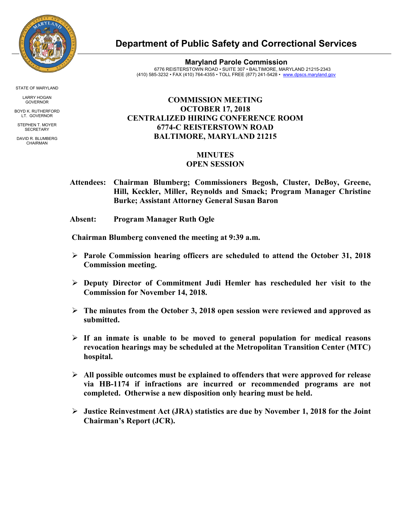

STATE OF MARYLAND

LARRY HOGAN GOVERNOR

BOYD K. RUTHERFORD LT. GOVERNOR STEPHEN T. MOYER

**SECRETARY** DAVID R. BLUMBERG

CHAIRMAN

**Department of Public Safety and Correctional Services**

**Maryland Parole Commission** 6776 REISTERSTOWN ROAD • SUITE 307 • BALTIMORE, MARYLAND 21215-2343 (410) 585-3232 • FAX (410) 764-4355 • TOLL FREE (877) 241-5428 • [www.dpscs.maryland.gov](http://www.dpscs.maryland.gov/) 

## **COMMISSION MEETING OCTOBER 17, 2018 CENTRALIZED HIRING CONFERENCE ROOM 6774-C REISTERSTOWN ROAD BALTIMORE, MARYLAND 21215**

## **MINUTES**

## **OPEN SESSION**

 **Attendees: Chairman Blumberg; Commissioners Begosh, Cluster, DeBoy, Greene, Hill, Keckler, Miller, Reynolds and Smack; Program Manager Christine Burke; Assistant Attorney General Susan Baron**

 **Absent: Program Manager Ruth Ogle**

 **Chairman Blumberg convened the meeting at 9:39 a.m.**

- **Parole Commission hearing officers are scheduled to attend the October 31, 2018 Commission meeting.**
- **Deputy Director of Commitment Judi Hemler has rescheduled her visit to the Commission for November 14, 2018.**
- **The minutes from the October 3, 2018 open session were reviewed and approved as submitted.**
- **If an inmate is unable to be moved to general population for medical reasons revocation hearings may be scheduled at the Metropolitan Transition Center (MTC) hospital.**
- **All possible outcomes must be explained to offenders that were approved for release via HB-1174 if infractions are incurred or recommended programs are not completed. Otherwise a new disposition only hearing must be held.**
- **Justice Reinvestment Act (JRA) statistics are due by November 1, 2018 for the Joint Chairman's Report (JCR).**